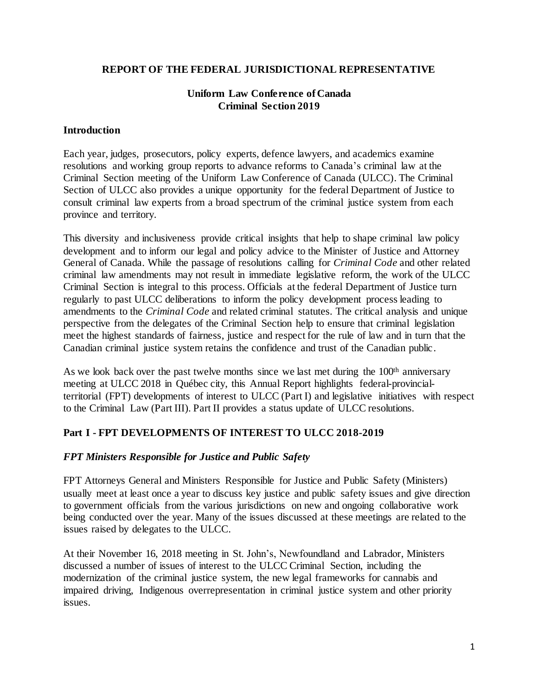#### **REPORT OF THE FEDERAL JURISDICTIONAL REPRESENTATIVE**

# **Uniform Law Conference of Canada Criminal Section 2019**

#### **Introduction**

Each year, judges, prosecutors, policy experts, defence lawyers, and academics examine resolutions and working group reports to advance reforms to Canada's criminal law at the Criminal Section meeting of the Uniform Law Conference of Canada (ULCC). The Criminal Section of ULCC also provides a unique opportunity for the federal Department of Justice to consult criminal law experts from a broad spectrum of the criminal justice system from each province and territory.

This diversity and inclusiveness provide critical insights that help to shape criminal law policy development and to inform our legal and policy advice to the Minister of Justice and Attorney General of Canada. While the passage of resolutions calling for *Criminal Code* and other related criminal law amendments may not result in immediate legislative reform, the work of the ULCC Criminal Section is integral to this process. Officials at the federal Department of Justice turn regularly to past ULCC deliberations to inform the policy development process leading to amendments to the *Criminal Code* and related criminal statutes. The critical analysis and unique perspective from the delegates of the Criminal Section help to ensure that criminal legislation meet the highest standards of fairness, justice and respect for the rule of law and in turn that the Canadian criminal justice system retains the confidence and trust of the Canadian public.

As we look back over the past twelve months since we last met during the 100<sup>th</sup> anniversary meeting at ULCC 2018 in Québec city, this Annual Report highlights federal-provincialterritorial (FPT) developments of interest to ULCC (Part I) and legislative initiatives with respect to the Criminal Law (Part III). Part II provides a status update of ULCC resolutions.

# **Part I - FPT DEVELOPMENTS OF INTEREST TO ULCC 2018-2019**

#### *FPT Ministers Responsible for Justice and Public Safety*

FPT Attorneys General and Ministers Responsible for Justice and Public Safety (Ministers) usually meet at least once a year to discuss key justice and public safety issues and give direction to government officials from the various jurisdictions on new and ongoing collaborative work being conducted over the year. Many of the issues discussed at these meetings are related to the issues raised by delegates to the ULCC.

At their November 16, 2018 meeting in St. John's, Newfoundland and Labrador, Ministers discussed a number of issues of interest to the ULCC Criminal Section, including the modernization of the criminal justice system, the new legal frameworks for cannabis and impaired driving, Indigenous overrepresentation in criminal justice system and other priority issues.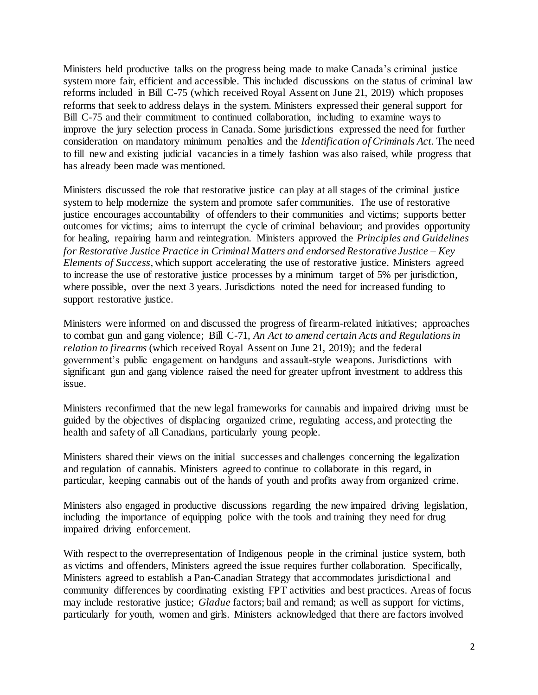Ministers held productive talks on the progress being made to make Canada's criminal justice system more fair, efficient and accessible. This included discussions on the status of criminal law reforms included in Bill C-75 (which received Royal Assent on June 21, 2019) which proposes reforms that seek to address delays in the system. Ministers expressed their general support for Bill C-75 and their commitment to continued collaboration, including to examine ways to improve the jury selection process in Canada. Some jurisdictions expressed the need for further consideration on mandatory minimum penalties and the *Identification of Criminals Act*. The need to fill new and existing judicial vacancies in a timely fashion was also raised, while progress that has already been made was mentioned.

Ministers discussed the role that restorative justice can play at all stages of the criminal justice system to help modernize the system and promote safer communities. The use of restorative justice encourages accountability of offenders to their communities and victims; supports better outcomes for victims; aims to interrupt the cycle of criminal behaviour; and provides opportunity for healing, repairing harm and reintegration. Ministers approved the *Principles and Guidelines for Restorative Justice Practice in Criminal Matters and endorsed Restorative Justice – Key Elements of Success*, which support accelerating the use of restorative justice. Ministers agreed to increase the use of restorative justice processes by a minimum target of 5% per jurisdiction, where possible, over the next 3 years. Jurisdictions noted the need for increased funding to support restorative justice.

Ministers were informed on and discussed the progress of firearm-related initiatives; approaches to combat gun and gang violence; Bill C-71, *An Act to amend certain Acts and Regulations in relation to firearms* (which received Royal Assent on June 21, 2019); and the federal government's public engagement on handguns and assault-style weapons. Jurisdictions with significant gun and gang violence raised the need for greater upfront investment to address this issue.

Ministers reconfirmed that the new legal frameworks for cannabis and impaired driving must be guided by the objectives of displacing organized crime, regulating access, and protecting the health and safety of all Canadians, particularly young people.

Ministers shared their views on the initial successes and challenges concerning the legalization and regulation of cannabis. Ministers agreed to continue to collaborate in this regard, in particular, keeping cannabis out of the hands of youth and profits away from organized crime.

Ministers also engaged in productive discussions regarding the new impaired driving legislation, including the importance of equipping police with the tools and training they need for drug impaired driving enforcement.

With respect to the overrepresentation of Indigenous people in the criminal justice system, both as victims and offenders, Ministers agreed the issue requires further collaboration. Specifically, Ministers agreed to establish a Pan-Canadian Strategy that accommodates jurisdictional and community differences by coordinating existing FPT activities and best practices. Areas of focus may include restorative justice; *Gladue* factors; bail and remand; as well as support for victims, particularly for youth, women and girls. Ministers acknowledged that there are factors involved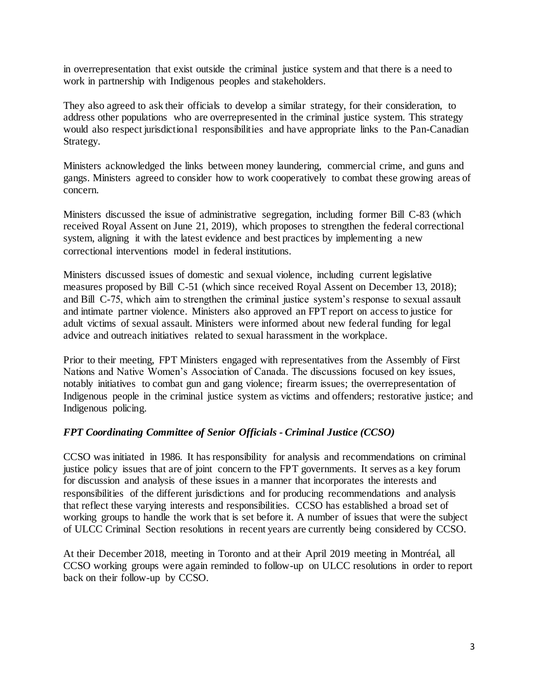in overrepresentation that exist outside the criminal justice system and that there is a need to work in partnership with Indigenous peoples and stakeholders.

They also agreed to ask their officials to develop a similar strategy, for their consideration, to address other populations who are overrepresented in the criminal justice system. This strategy would also respect jurisdictional responsibilities and have appropriate links to the Pan-Canadian Strategy.

Ministers acknowledged the links between money laundering, commercial crime, and guns and gangs. Ministers agreed to consider how to work cooperatively to combat these growing areas of concern.

Ministers discussed the issue of administrative segregation, including former Bill C-83 (which received Royal Assent on June 21, 2019), which proposes to strengthen the federal correctional system, aligning it with the latest evidence and best practices by implementing a new correctional interventions model in federal institutions.

Ministers discussed issues of domestic and sexual violence, including current legislative measures proposed by Bill C-51 (which since received Royal Assent on December 13, 2018); and Bill C-75, which aim to strengthen the criminal justice system's response to sexual assault and intimate partner violence. Ministers also approved an FPT report on access to justice for adult victims of sexual assault. Ministers were informed about new federal funding for legal advice and outreach initiatives related to sexual harassment in the workplace.

Prior to their meeting, FPT Ministers engaged with representatives from the Assembly of First Nations and Native Women's Association of Canada. The discussions focused on key issues, notably initiatives to combat gun and gang violence; firearm issues; the overrepresentation of Indigenous people in the criminal justice system as victims and offenders; restorative justice; and Indigenous policing.

# *FPT Coordinating Committee of Senior Officials - Criminal Justice (CCSO)*

CCSO was initiated in 1986. It has responsibility for analysis and recommendations on criminal justice policy issues that are of joint concern to the FPT governments. It serves as a key forum for discussion and analysis of these issues in a manner that incorporates the interests and responsibilities of the different jurisdictions and for producing recommendations and analysis that reflect these varying interests and responsibilities. CCSO has established a broad set of working groups to handle the work that is set before it. A number of issues that were the subject of ULCC Criminal Section resolutions in recent years are currently being considered by CCSO.

At their December 2018, meeting in Toronto and at their April 2019 meeting in Montréal, all CCSO working groups were again reminded to follow-up on ULCC resolutions in order to report back on their follow-up by CCSO.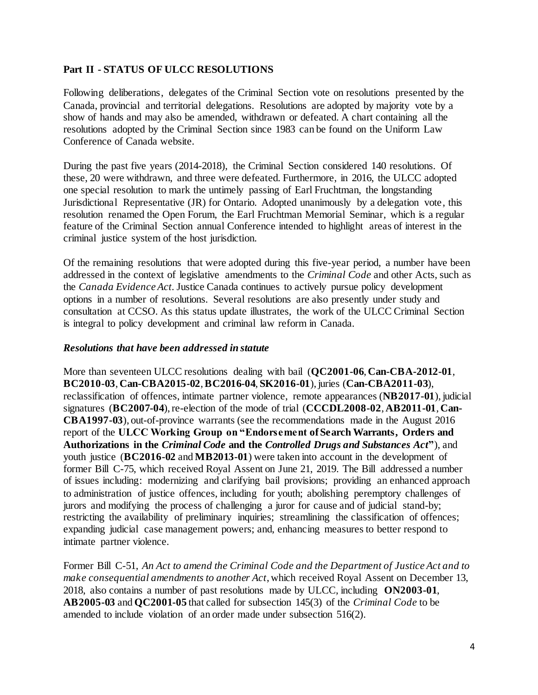#### **Part II - STATUS OF ULCC RESOLUTIONS**

Following deliberations, delegates of the Criminal Section vote on resolutions presented by the Canada, provincial and territorial delegations. Resolutions are adopted by majority vote by a show of hands and may also be amended, withdrawn or defeated. A chart containing all the resolutions adopted by the Criminal Section since 1983 can be found on the Uniform Law Conference of Canada website.

During the past five years (2014-2018), the Criminal Section considered 140 resolutions. Of these, 20 were withdrawn, and three were defeated. Furthermore, in 2016, the ULCC adopted one special resolution to mark the untimely passing of Earl Fruchtman, the longstanding Jurisdictional Representative (JR) for Ontario. Adopted unanimously by a delegation vote, this resolution renamed the Open Forum, the Earl Fruchtman Memorial Seminar, which is a regular feature of the Criminal Section annual Conference intended to highlight areas of interest in the criminal justice system of the host jurisdiction.

Of the remaining resolutions that were adopted during this five-year period, a number have been addressed in the context of legislative amendments to the *Criminal Code* and other Acts, such as the *Canada Evidence Act*. Justice Canada continues to actively pursue policy development options in a number of resolutions. Several resolutions are also presently under study and consultation at CCSO. As this status update illustrates, the work of the ULCC Criminal Section is integral to policy development and criminal law reform in Canada.

#### *Resolutions that have been addressed in statute*

More than seventeen ULCC resolutions dealing with bail (**QC2001-06**, **Can-CBA-2012-01**, **BC2010-03**, **Can-CBA2015-02**, **BC2016-04**, **SK2016-01**), juries (**Can-CBA2011-03**), reclassification of offences, intimate partner violence, remote appearances (**NB2017-01**), judicial signatures (**BC2007-04**), re-election of the mode of trial (**CCCDL2008-02**, **AB2011-01**, **Can-CBA1997-03**), out-of-province warrants (see the recommendations made in the August 2016 report of the **ULCC Working Group on "Endorsement of Search Warrants, Orders and Authorizations in the** *Criminal Code* **and the** *Controlled Drugs and Substances Act***"**), and youth justice (**BC2016-02** and **MB2013-01**) were taken into account in the development of former Bill C-75, which received Royal Assent on June 21, 2019. The Bill addressed a number of issues including: modernizing and clarifying bail provisions; providing an enhanced approach to administration of justice offences, including for youth; abolishing peremptory challenges of jurors and modifying the process of challenging a juror for cause and of judicial stand-by; restricting the availability of preliminary inquiries; streamlining the classification of offences; expanding judicial case management powers; and, enhancing measures to better respond to intimate partner violence.

Former Bill C-51, *An Act to amend the Criminal Code and the Department of Justice Act and to make consequential amendments to another Act*, which received Royal Assent on December 13, 2018, also contains a number of past resolutions made by ULCC, including **ON2003-01**, **AB2005-03** and **QC2001-05** that called for subsection 145(3) of the *Criminal Code* to be amended to include violation of an order made under subsection 516(2).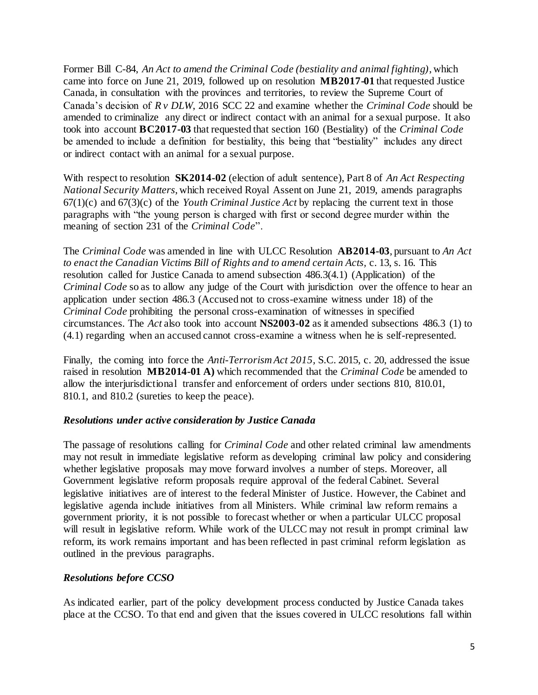Former Bill C-84, *An Act to amend the Criminal Code (bestiality and animal fighting)*, which came into force on June 21, 2019, followed up on resolution **MB2017-01** that requested Justice Canada, in consultation with the provinces and territories, to review the Supreme Court of Canada's decision of *R v DLW*, 2016 SCC 22 and examine whether the *Criminal Code* should be amended to criminalize any direct or indirect contact with an animal for a sexual purpose. It also took into account **BC2017-03** that requested that section 160 (Bestiality) of the *Criminal Code* be amended to include a definition for bestiality, this being that "bestiality" includes any direct or indirect contact with an animal for a sexual purpose.

With respect to resolution **SK2014-02** (election of adult sentence), Part 8 of *An Act Respecting National Security Matters*, which received Royal Assent on June 21, 2019, amends paragraphs 67(1)(c) and 67(3)(c) of the *Youth Criminal Justice Act* by replacing the current text in those paragraphs with "the young person is charged with first or second degree murder within the meaning of section 231 of the *Criminal Code*".

The *Criminal Code* was amended in line with ULCC Resolution **AB2014-03**, pursuant to *An Act to enact the Canadian Victims Bill of Rights and to amend certain Acts,* c. 13, s. 16. This resolution called for Justice Canada to amend subsection 486.3(4.1) (Application) of the *Criminal Code* so as to allow any judge of the Court with jurisdiction over the offence to hear an application under section 486.3 (Accused not to cross-examine witness under 18) of the *Criminal Code* prohibiting the personal cross-examination of witnesses in specified circumstances. The *Act* also took into account **NS2003-02** as it amended subsections 486.3 (1) to (4.1) regarding when an accused cannot cross-examine a witness when he is self-represented.

Finally, the coming into force the *Anti-Terrorism Act 2015,* S.C. 2015, c. 20, addressed the issue raised in resolution **MB2014-01 A)** which recommended that the *Criminal Code* be amended to allow the interjurisdictional transfer and enforcement of orders under sections 810, 810.01, 810.1, and 810.2 (sureties to keep the peace).

# *Resolutions under active consideration by Justice Canada*

The passage of resolutions calling for *Criminal Code* and other related criminal law amendments may not result in immediate legislative reform as developing criminal law policy and considering whether legislative proposals may move forward involves a number of steps. Moreover, all Government legislative reform proposals require approval of the federal Cabinet. Several legislative initiatives are of interest to the federal Minister of Justice. However, the Cabinet and legislative agenda include initiatives from all Ministers. While criminal law reform remains a government priority, it is not possible to forecast whether or when a particular ULCC proposal will result in legislative reform. While work of the ULCC may not result in prompt criminal law reform, its work remains important and has been reflected in past criminal reform legislation as outlined in the previous paragraphs.

# *Resolutions before CCSO*

As indicated earlier, part of the policy development process conducted by Justice Canada takes place at the CCSO. To that end and given that the issues covered in ULCC resolutions fall within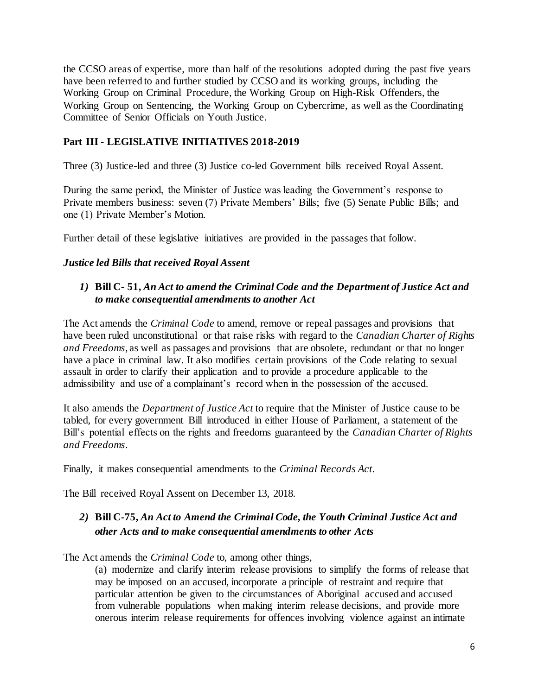the CCSO areas of expertise, more than half of the resolutions adopted during the past five years have been referred to and further studied by CCSO and its working groups, including the Working Group on Criminal Procedure, the Working Group on High-Risk Offenders, the Working Group on Sentencing, the Working Group on Cybercrime, as well as the Coordinating Committee of Senior Officials on Youth Justice.

### **Part III - LEGISLATIVE INITIATIVES 2018-2019**

Three (3) Justice-led and three (3) Justice co-led Government bills received Royal Assent.

During the same period, the Minister of Justice was leading the Government's response to Private members business: seven (7) Private Members' Bills; five (5) Senate Public Bills; and one (1) Private Member's Motion.

Further detail of these legislative initiatives are provided in the passages that follow.

#### *Justice led Bills that received Royal Assent*

### *1)* **Bill C- 51,** *An Act to amend the Criminal Code and the Department of Justice Act and to make consequential amendments to another Act*

The Act amends the *Criminal Code* to amend, remove or repeal passages and provisions that have been ruled unconstitutional or that raise risks with regard to the *Canadian Charter of Rights and Freedoms*, as well as passages and provisions that are obsolete, redundant or that no longer have a place in criminal law. It also modifies certain provisions of the Code relating to sexual assault in order to clarify their application and to provide a procedure applicable to the admissibility and use of a complainant's record when in the possession of the accused.

It also amends the *Department of Justice Act* to require that the Minister of Justice cause to be tabled, for every government Bill introduced in either House of Parliament, a statement of the Bill's potential effects on the rights and freedoms guaranteed by the *Canadian Charter of Rights and Freedoms*.

Finally, it makes consequential amendments to the *Criminal Records Act*.

The Bill received Royal Assent on December 13, 2018.

# *2)* **Bill C-75,** *An Act to Amend the Criminal Code, the Youth Criminal Justice Act and other Acts and to make consequential amendments to other Acts*

The Act amends the *Criminal Code* to, among other things,

(a) modernize and clarify interim release provisions to simplify the forms of release that may be imposed on an accused, incorporate a principle of restraint and require that particular attention be given to the circumstances of Aboriginal accused and accused from vulnerable populations when making interim release decisions, and provide more onerous interim release requirements for offences involving violence against an intimate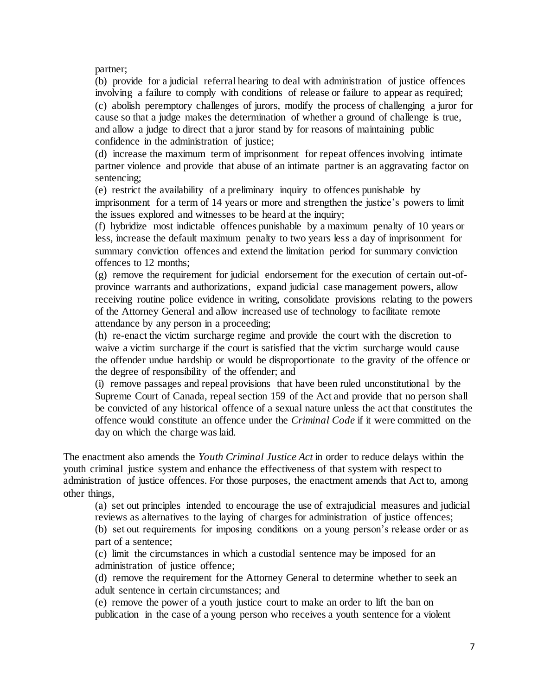partner;

(b) provide for a judicial referral hearing to deal with administration of justice offences involving a failure to comply with conditions of release or failure to appear as required; (c) abolish peremptory challenges of jurors, modify the process of challenging a juror for cause so that a judge makes the determination of whether a ground of challenge is true, and allow a judge to direct that a juror stand by for reasons of maintaining public confidence in the administration of justice;

(d) increase the maximum term of imprisonment for repeat offences involving intimate partner violence and provide that abuse of an intimate partner is an aggravating factor on sentencing;

(e) restrict the availability of a preliminary inquiry to offences punishable by imprisonment for a term of 14 years or more and strengthen the justice's powers to limit the issues explored and witnesses to be heard at the inquiry;

(f) hybridize most indictable offences punishable by a maximum penalty of 10 years or less, increase the default maximum penalty to two years less a day of imprisonment for summary conviction offences and extend the limitation period for summary conviction offences to 12 months;

(g) remove the requirement for judicial endorsement for the execution of certain out-ofprovince warrants and authorizations, expand judicial case management powers, allow receiving routine police evidence in writing, consolidate provisions relating to the powers of the Attorney General and allow increased use of technology to facilitate remote attendance by any person in a proceeding;

(h) re-enact the victim surcharge regime and provide the court with the discretion to waive a victim surcharge if the court is satisfied that the victim surcharge would cause the offender undue hardship or would be disproportionate to the gravity of the offence or the degree of responsibility of the offender; and

(i) remove passages and repeal provisions that have been ruled unconstitutional by the Supreme Court of Canada, repeal section 159 of the Act and provide that no person shall be convicted of any historical offence of a sexual nature unless the act that constitutes the offence would constitute an offence under the *Criminal Code* if it were committed on the day on which the charge was laid.

The enactment also amends the *Youth Criminal Justice Act* in order to reduce delays within the youth criminal justice system and enhance the effectiveness of that system with respect to administration of justice offences. For those purposes, the enactment amends that Act to, among other things,

(a) set out principles intended to encourage the use of extrajudicial measures and judicial reviews as alternatives to the laying of charges for administration of justice offences;

(b) set out requirements for imposing conditions on a young person's release order or as part of a sentence;

(c) limit the circumstances in which a custodial sentence may be imposed for an administration of justice offence;

(d) remove the requirement for the Attorney General to determine whether to seek an adult sentence in certain circumstances; and

(e) remove the power of a youth justice court to make an order to lift the ban on publication in the case of a young person who receives a youth sentence for a violent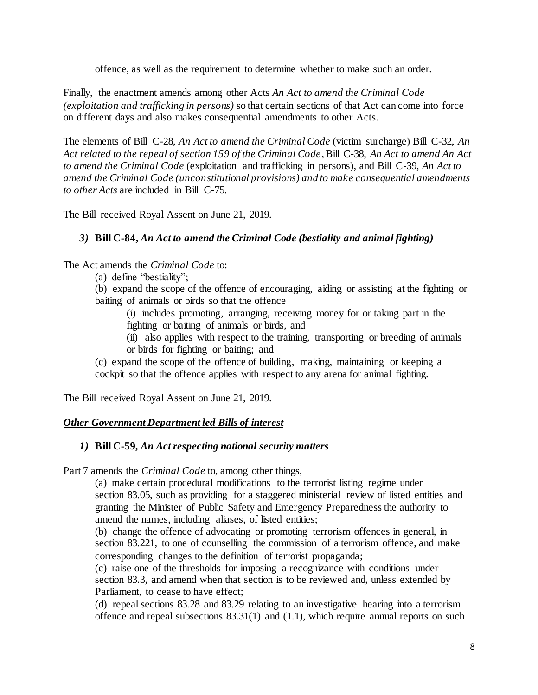offence, as well as the requirement to determine whether to make such an order.

Finally, the enactment amends among other Acts *An Act to amend the Criminal Code (exploitation and trafficking in persons)* so that certain sections of that Act can come into force on different days and also makes consequential amendments to other Acts.

The elements of Bill C-28, *An Act to amend the Criminal Code* (victim surcharge) Bill C-32, *An Act related to the repeal of section 159 of the Criminal Code*, Bill C-38, *An Act to amend An Act to amend the Criminal Code* (exploitation and trafficking in persons), and Bill C-39, *An Act to amend the Criminal Code (unconstitutional provisions) and to make consequential amendments to other Acts* are included in Bill C-75.

The Bill received Royal Assent on June 21, 2019.

# *3)* **Bill C-84,** *An Act to amend the Criminal Code (bestiality and animal fighting)*

The Act amends the *Criminal Code* to:

(a) define "bestiality";

(b) expand the scope of the offence of encouraging, aiding or assisting at the fighting or baiting of animals or birds so that the offence

(i) includes promoting, arranging, receiving money for or taking part in the fighting or baiting of animals or birds, and

(ii) also applies with respect to the training, transporting or breeding of animals or birds for fighting or baiting; and

(c) expand the scope of the offence of building, making, maintaining or keeping a cockpit so that the offence applies with respect to any arena for animal fighting.

The Bill received Royal Assent on June 21, 2019.

#### *Other Government Department led Bills of interest*

#### *1)* **Bill C-59***, An Act respecting national security matters*

Part 7 amends the *Criminal Code* to, among other things,

(a) make certain procedural modifications to the terrorist listing regime under section 83.05, such as providing for a staggered ministerial review of listed entities and granting the Minister of Public Safety and Emergency Preparedness the authority to amend the names, including aliases, of listed entities;

(b) change the offence of advocating or promoting terrorism offences in general, in section 83.221, to one of counselling the commission of a terrorism offence, and make corresponding changes to the definition of terrorist propaganda;

(c) raise one of the thresholds for imposing a recognizance with conditions under section 83.3, and amend when that section is to be reviewed and, unless extended by Parliament, to cease to have effect;

(d) repeal sections 83.28 and 83.29 relating to an investigative hearing into a terrorism offence and repeal subsections 83.31(1) and (1.1), which require annual reports on such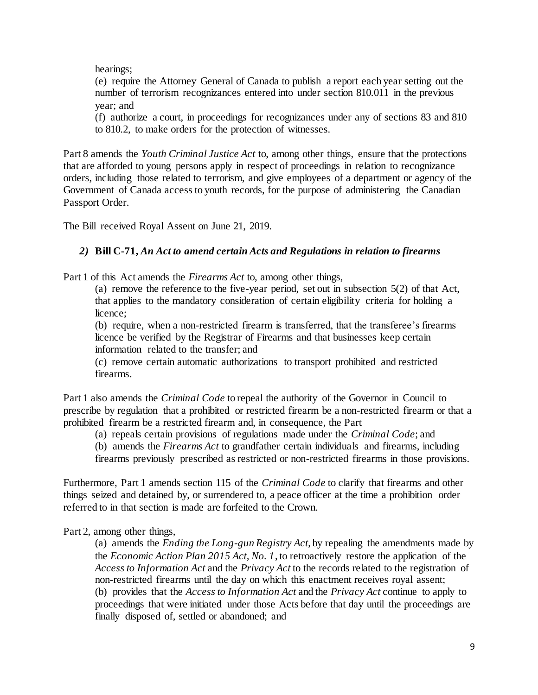hearings;

(e) require the Attorney General of Canada to publish a report each year setting out the number of terrorism recognizances entered into under section 810.011 in the previous year; and

(f) authorize a court, in proceedings for recognizances under any of sections 83 and 810 to 810.2, to make orders for the protection of witnesses.

Part 8 amends the *Youth Criminal Justice Act* to, among other things, ensure that the protections that are afforded to young persons apply in respect of proceedings in relation to recognizance orders, including those related to terrorism, and give employees of a department or agency of the Government of Canada access to youth records, for the purpose of administering the Canadian Passport Order.

The Bill received Royal Assent on June 21, 2019.

# *2)* **Bill C-71,** *An Act to amend certain Acts and Regulations in relation to firearms*

Part 1 of this Act amends the *Firearms Act* to, among other things,

(a) remove the reference to the five-year period, set out in subsection 5(2) of that Act, that applies to the mandatory consideration of certain eligibility criteria for holding a licence;

(b) require, when a non-restricted firearm is transferred, that the transferee's firearms licence be verified by the Registrar of Firearms and that businesses keep certain information related to the transfer; and

(c) remove certain automatic authorizations to transport prohibited and restricted firearms.

Part 1 also amends the *Criminal Code* to repeal the authority of the Governor in Council to prescribe by regulation that a prohibited or restricted firearm be a non-restricted firearm or that a prohibited firearm be a restricted firearm and, in consequence, the Part

(a) repeals certain provisions of regulations made under the *Criminal Code*; and

(b) amends the *Firearms Act* to grandfather certain individuals and firearms, including firearms previously prescribed as restricted or non-restricted firearms in those provisions.

Furthermore, Part 1 amends section 115 of the *Criminal Code* to clarify that firearms and other things seized and detained by, or surrendered to, a peace officer at the time a prohibition order referred to in that section is made are forfeited to the Crown.

# Part 2, among other things,

(a) amends the *Ending the Long-gun Registry Act*, by repealing the amendments made by the *Economic Action Plan 2015 Act, No. 1*, to retroactively restore the application of the *Access to Information Act* and the *Privacy Act* to the records related to the registration of non-restricted firearms until the day on which this enactment receives royal assent; (b) provides that the *Access to Information Act* and the *Privacy Act* continue to apply to proceedings that were initiated under those Acts before that day until the proceedings are finally disposed of, settled or abandoned; and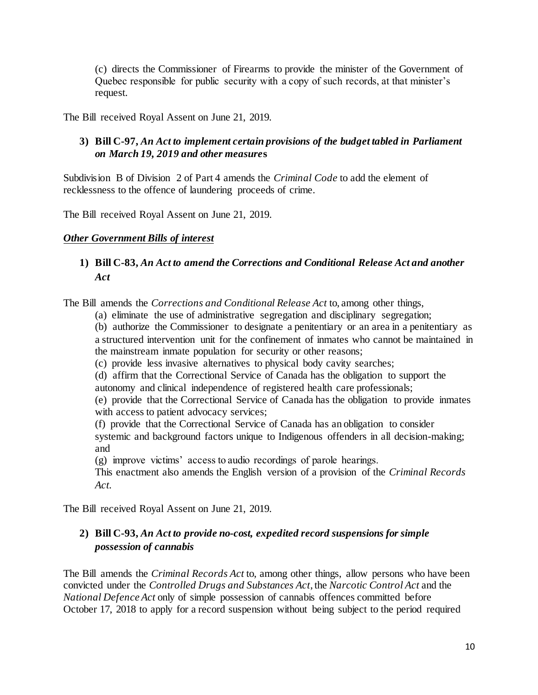(c) directs the Commissioner of Firearms to provide the minister of the Government of Quebec responsible for public security with a copy of such records, at that minister's request.

The Bill received Royal Assent on June 21, 2019.

# **3) Bill C-97,** *An Act to implement certain provisions of the budget tabled in Parliament on March 19, 2019 and other measure***s**

Subdivision B of Division 2 of Part 4 amends the *Criminal Code* to add the element of recklessness to the offence of laundering proceeds of crime.

The Bill received Royal Assent on June 21, 2019.

# *Other Government Bills of interest*

# **1) Bill C-83,** *An Act to amend the Corrections and Conditional Release Act and another Act*

The Bill amends the *Corrections and Conditional Release Act* to, among other things,

(a) eliminate the use of administrative segregation and disciplinary segregation;

(b) authorize the Commissioner to designate a penitentiary or an area in a penitentiary as a structured intervention unit for the confinement of inmates who cannot be maintained in the mainstream inmate population for security or other reasons;

- (c) provide less invasive alternatives to physical body cavity searches;
- (d) affirm that the Correctional Service of Canada has the obligation to support the
- autonomy and clinical independence of registered health care professionals;

(e) provide that the Correctional Service of Canada has the obligation to provide inmates with access to patient advocacy services;

(f) provide that the Correctional Service of Canada has an obligation to consider systemic and background factors unique to Indigenous offenders in all decision-making; and

(g) improve victims' access to audio recordings of parole hearings.

This enactment also amends the English version of a provision of the *Criminal Records Act*.

The Bill received Royal Assent on June 21, 2019.

# **2) Bill C-93,** *An Act to provide no-cost, expedited record suspensions for simple possession of cannabis*

The Bill amends the *Criminal Records Act* to, among other things, allow persons who have been convicted under the *Controlled Drugs and Substances Act*, the *Narcotic Control Act* and the *National Defence Act* only of simple possession of cannabis offences committed before October 17, 2018 to apply for a record suspension without being subject to the period required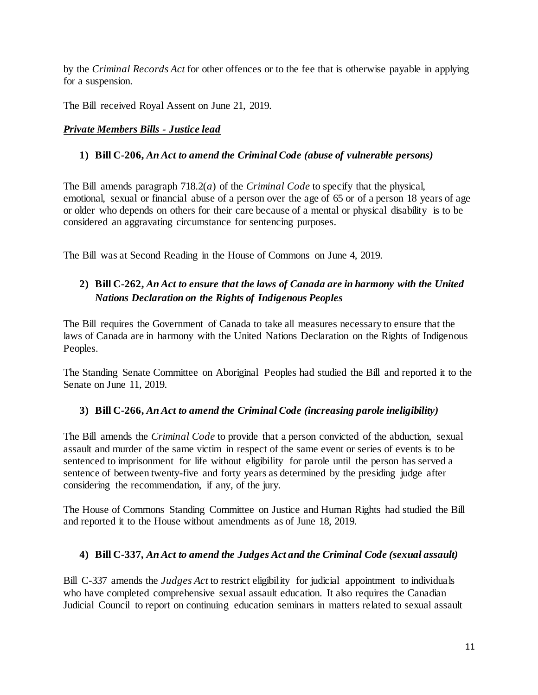by the *Criminal Records Act* for other offences or to the fee that is otherwise payable in applying for a suspension.

The Bill received Royal Assent on June 21, 2019.

# *Private Members Bills - Justice lead*

# **1) Bill C-206,** *An Act to amend the Criminal Code (abuse of vulnerable persons)*

The Bill amends paragraph 718.2(*a*) of the *Criminal Code* to specify that the physical, emotional, sexual or financial abuse of a person over the age of 65 or of a person 18 years of age or older who depends on others for their care because of a mental or physical disability is to be considered an aggravating circumstance for sentencing purposes.

The Bill was at Second Reading in the House of Commons on June 4, 2019.

# **2) Bill C-262,** *An Act to ensure that the laws of Canada are in harmony with the United Nations Declaration on the Rights of Indigenous Peoples*

The Bill requires the Government of Canada to take all measures necessary to ensure that the laws of Canada are in harmony with the United Nations Declaration on the Rights of Indigenous Peoples.

The Standing Senate Committee on Aboriginal Peoples had studied the Bill and reported it to the Senate on June 11, 2019.

# **3) Bill C-266,** *An Act to amend the Criminal Code (increasing parole ineligibility)*

The Bill amends the *Criminal Code* to provide that a person convicted of the abduction, sexual assault and murder of the same victim in respect of the same event or series of events is to be sentenced to imprisonment for life without eligibility for parole until the person has served a sentence of between twenty-five and forty years as determined by the presiding judge after considering the recommendation, if any, of the jury.

The House of Commons Standing Committee on Justice and Human Rights had studied the Bill and reported it to the House without amendments as of June 18, 2019.

# **4) Bill C-337***, An Act to amend the Judges Act and the Criminal Code (sexual assault)*

Bill C-337 amends the *Judges Act* to restrict eligibility for judicial appointment to individuals who have completed comprehensive sexual assault education. It also requires the Canadian Judicial Council to report on continuing education seminars in matters related to sexual assault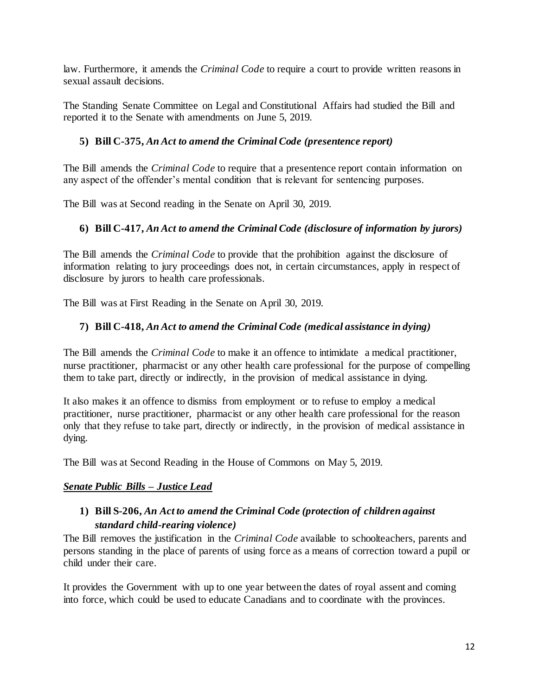law. Furthermore, it amends the *Criminal Code* to require a court to provide written reasons in sexual assault decisions.

The Standing Senate Committee on Legal and Constitutional Affairs had studied the Bill and reported it to the Senate with amendments on June 5, 2019.

# **5) Bill C-375,** *An Act to amend the Criminal Code (presentence report)*

The Bill amends the *Criminal Code* to require that a presentence report contain information on any aspect of the offender's mental condition that is relevant for sentencing purposes.

The Bill was at Second reading in the Senate on April 30, 2019.

# **6) Bill C-417,** *An Act to amend the Criminal Code (disclosure of information by jurors)*

The Bill amends the *Criminal Code* to provide that the prohibition against the disclosure of information relating to jury proceedings does not, in certain circumstances, apply in respect of disclosure by jurors to health care professionals.

The Bill was at First Reading in the Senate on April 30, 2019.

# **7) Bill C-418,** *An Act to amend the Criminal Code (medical assistance in dying)*

The Bill amends the *Criminal Code* to make it an offence to intimidate a medical practitioner, nurse practitioner, pharmacist or any other health care professional for the purpose of compelling them to take part, directly or indirectly, in the provision of medical assistance in dying.

It also makes it an offence to dismiss from employment or to refuse to employ a medical practitioner, nurse practitioner, pharmacist or any other health care professional for the reason only that they refuse to take part, directly or indirectly, in the provision of medical assistance in dying.

The Bill was at Second Reading in the House of Commons on May 5, 2019.

# *Senate Public Bills – Justice Lead*

# **1) Bill S-206,** *An Act to amend the Criminal Code (protection of children against standard child-rearing violence)*

The Bill removes the justification in the *Criminal Code* available to schoolteachers, parents and persons standing in the place of parents of using force as a means of correction toward a pupil or child under their care.

It provides the Government with up to one year between the dates of royal assent and coming into force, which could be used to educate Canadians and to coordinate with the provinces.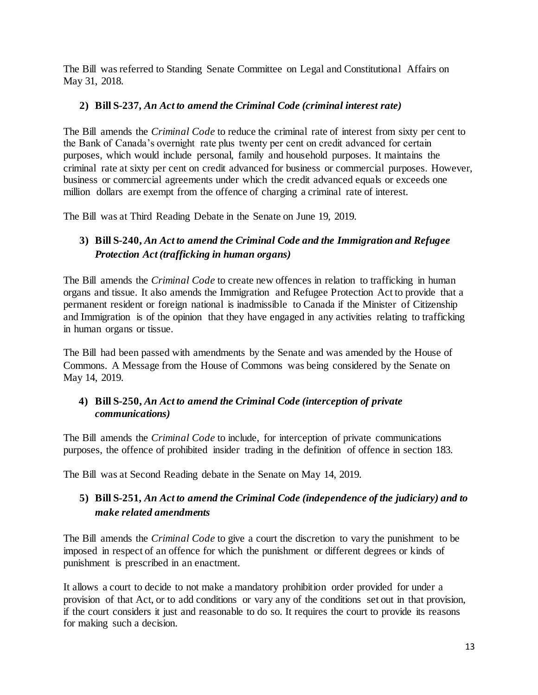The Bill was referred to Standing Senate Committee on Legal and Constitutional Affairs on May 31, 2018.

# **2) Bill S-237***, An Act to amend the Criminal Code (criminal interest rate)*

The Bill amends the *Criminal Code* to reduce the criminal rate of interest from sixty per cent to the Bank of Canada's overnight rate plus twenty per cent on credit advanced for certain purposes, which would include personal, family and household purposes. It maintains the criminal rate at sixty per cent on credit advanced for business or commercial purposes. However, business or commercial agreements under which the credit advanced equals or exceeds one million dollars are exempt from the offence of charging a criminal rate of interest.

The Bill was at Third Reading Debate in the Senate on June 19, 2019.

# **3) Bill S-240,** *An Act to amend the Criminal Code and the Immigration and Refugee Protection Act (trafficking in human organs)*

The Bill amends the *Criminal Code* to create new offences in relation to trafficking in human organs and tissue. It also amends the Immigration and Refugee Protection Act to provide that a permanent resident or foreign national is inadmissible to Canada if the Minister of Citizenship and Immigration is of the opinion that they have engaged in any activities relating to trafficking in human organs or tissue.

The Bill had been passed with amendments by the Senate and was amended by the House of Commons. A Message from the House of Commons was being considered by the Senate on May 14, 2019.

# **4) Bill S-250,** *An Act to amend the Criminal Code (interception of private communications)*

The Bill amends the *Criminal Code* to include, for interception of private communications purposes, the offence of prohibited insider trading in the definition of offence in section 183.

The Bill was at Second Reading debate in the Senate on May 14, 2019.

# **5) Bill S-251***, An Act to amend the Criminal Code (independence of the judiciary) and to make related amendments*

The Bill amends the *Criminal Code* to give a court the discretion to vary the punishment to be imposed in respect of an offence for which the punishment or different degrees or kinds of punishment is prescribed in an enactment.

It allows a court to decide to not make a mandatory prohibition order provided for under a provision of that Act, or to add conditions or vary any of the conditions set out in that provision, if the court considers it just and reasonable to do so. It requires the court to provide its reasons for making such a decision.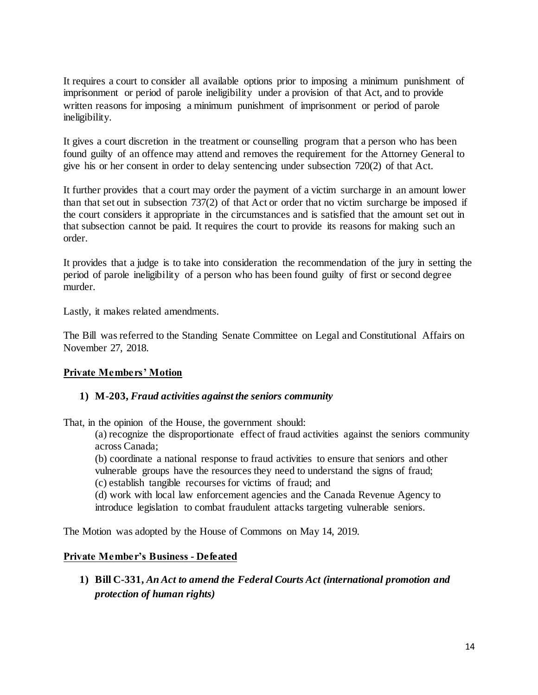It requires a court to consider all available options prior to imposing a minimum punishment of imprisonment or period of parole ineligibility under a provision of that Act, and to provide written reasons for imposing a minimum punishment of imprisonment or period of parole ineligibility.

It gives a court discretion in the treatment or counselling program that a person who has been found guilty of an offence may attend and removes the requirement for the Attorney General to give his or her consent in order to delay sentencing under subsection 720(2) of that Act.

It further provides that a court may order the payment of a victim surcharge in an amount lower than that set out in subsection 737(2) of that Act or order that no victim surcharge be imposed if the court considers it appropriate in the circumstances and is satisfied that the amount set out in that subsection cannot be paid. It requires the court to provide its reasons for making such an order.

It provides that a judge is to take into consideration the recommendation of the jury in setting the period of parole ineligibility of a person who has been found guilty of first or second degree murder.

Lastly, it makes related amendments.

The Bill was referred to the Standing Senate Committee on Legal and Constitutional Affairs on November 27, 2018.

# **Private Members' Motion**

# **1) M-203,** *Fraud activities against the seniors community*

That, in the opinion of the House, the government should:

(a) recognize the disproportionate effect of fraud activities against the seniors community across Canada;

(b) coordinate a national response to fraud activities to ensure that seniors and other vulnerable groups have the resources they need to understand the signs of fraud; (c) establish tangible recourses for victims of fraud; and

(d) work with local law enforcement agencies and the Canada Revenue Agency to introduce legislation to combat fraudulent attacks targeting vulnerable seniors.

The Motion was adopted by the House of Commons on May 14, 2019.

# **Private Member's Business - Defeated**

**1) Bill C-331,** *An Act to amend the Federal Courts Act (international promotion and protection of human rights)*